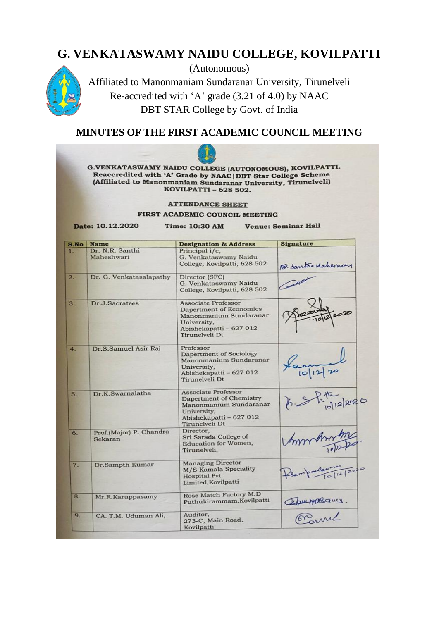# **G. VENKATASWAMY NAIDU COLLEGE, KOVILPATTI**



(Autonomous) Affiliated to Manonmaniam Sundaranar University, Tirunelveli Re-accredited with 'A' grade (3.21 of 4.0) by NAAC DBT STAR College by Govt. of India

# **MINUTES OF THE FIRST ACADEMIC COUNCIL MEETING**

|      | G.VENKATASWAMY NAIDU COLLEGE (AUTONOMOUS), KOVILPATTI.<br>Reaccredited with 'A' Grade by NAAC DBT Star College Scheme<br>(Affiliated to Manonmaniam Sundaranar University, Tirunelveli)<br>KOVILPATTI - 628 502.<br><b>ATTENDANCE SHEET</b><br>FIRST ACADEMIC COUNCIL MEETING |                                                                                                                                             |                                         |  |  |  |  |
|------|-------------------------------------------------------------------------------------------------------------------------------------------------------------------------------------------------------------------------------------------------------------------------------|---------------------------------------------------------------------------------------------------------------------------------------------|-----------------------------------------|--|--|--|--|
| S.No | Date: 10.12.2020<br><b>Name</b>                                                                                                                                                                                                                                               | Time: 10:30 AM<br><b>Designation &amp; Address</b>                                                                                          | <b>Venue: Seminar Hall</b><br>Signature |  |  |  |  |
| 1.   | Dr. N.R. Santhi<br>Maheshwari                                                                                                                                                                                                                                                 | Principal i/c,<br>G. Venkataswamy Naidu<br>College, Kovilpatti, 628 502                                                                     | 18- Santhe Makemay                      |  |  |  |  |
| 2.   | Dr. G. Venkatasalapathy                                                                                                                                                                                                                                                       | Director (SFC)<br>G. Venkataswamy Naidu<br>College, Kovilpatti, 628 502                                                                     |                                         |  |  |  |  |
| 3.   | Dr.J.Sacratees                                                                                                                                                                                                                                                                | <b>Associate Professor</b><br>Dapertment of Economics<br>Manonmanium Sundaranar<br>University,<br>Abishekapatti - 627 012<br>Tirunelyeli Dt |                                         |  |  |  |  |
| 4.   | Dr.S.Samuel Asir Raj                                                                                                                                                                                                                                                          | Professor<br>Dapertment of Sociology<br>Manonmanium Sundaranar<br>University,<br>Abishekapatti – 627 012<br>Tirunelveli Dt                  |                                         |  |  |  |  |
| 5.   | Dr.K.Swarnalatha                                                                                                                                                                                                                                                              | <b>Associate Professor</b><br>Dapertment of Chemistry<br>Manonmanium Sundaranar<br>University,<br>Abishekapatti - 627 012<br>Tirunelveli Dt |                                         |  |  |  |  |
| 6.   | Prof.(Major) P. Chandra<br>Sekaran                                                                                                                                                                                                                                            | Director,<br>Sri Sarada College of<br>Education for Women,<br>Tirunelveli.                                                                  |                                         |  |  |  |  |
| 7.   | Dr.Sampth Kumar                                                                                                                                                                                                                                                               | <b>Managing Director</b><br>M/S Kamala Speciality<br><b>Hospital Pvt</b><br>Limited, Kovilpatti                                             | Pear processional<br>$1+120$            |  |  |  |  |
| 8.   | Mr.R.Karuppasamy                                                                                                                                                                                                                                                              | Rose Match Factory M.D<br>Puthukirammam, Kovilpatti                                                                                         | Commassins.                             |  |  |  |  |
| 9.   | CA. T.M. Uduman Ali,                                                                                                                                                                                                                                                          | Auditor,<br>273-C, Main Road,<br>Kovilpatti                                                                                                 |                                         |  |  |  |  |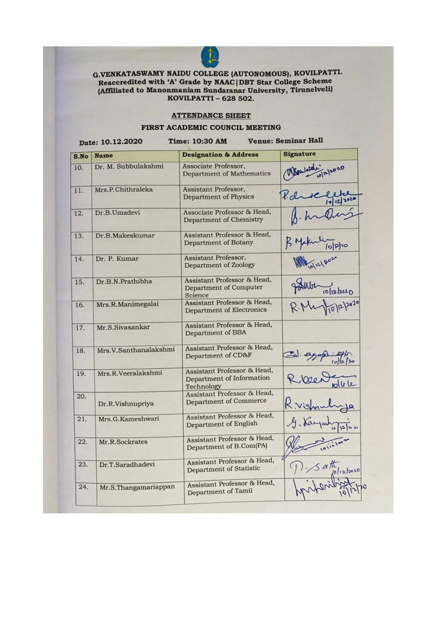

# G.VENKATASWAMY NAIDU COLLEGE (AUTONOMOUS), KOVILPATTI. Reaccredited with 'A' Grade by NAAC|DBT Star College Scheme<br>(Affiliated to Manonmaniam Sundaranar University, Tirunelveli) KOVILPATTI - 628 502.

#### **ATTENDANCE SHEET**

#### FIRST ACADEMIC COUNCIL MEETING

| S.No | <b>Name</b>           | <b>Designation &amp; Address</b>                                       | Signature              |
|------|-----------------------|------------------------------------------------------------------------|------------------------|
| 10.  | Dr. M. Subbulakshmi   | Associate Professor,<br><b>Department of Mathematics</b>               |                        |
| 11.  | Mrs.P.Chithraleka     | Assistant Professor,<br><b>Department of Physics</b>                   |                        |
| 12.  | Dr.B.Umadevi          | Associate Professor & Head,<br>Department of Chemistry                 |                        |
| 13.  | Dr.B.Makeskumar       | Assistant Professor & Head,<br>Department of Botany                    |                        |
| 14.  | Dr. P. Kumar          | Assistant Professor,<br>Department of Zoology                          |                        |
| 15.  | Dr.B.N.Prathibha      | Assistant Professor & Head,<br>Department of Computer<br>Science       | $\frac{1}{10}$ 12/2020 |
| 16.  | Mrs.R.Manimegalai     | Assistant Professor & Head,<br><b>Department of Electronics</b>        |                        |
| 17.  | Mr.S.Sivasankar       | Assistant Professor & Head,<br>Department of BBA                       |                        |
| 18.  | Mrs.V.Santhanalakshmi | Assistant Professor & Head,<br>Department of CD&F                      | segnthe 10)            |
| 19.  | Mrs.R.Veeralakshmi    | Assistant Professor & Head,<br>Department of Information<br>Technology |                        |
| 20.  | Dr.R.Vishnupriya      | Assistant Professor & Head,<br><b>Department of Commerce</b>           |                        |
| 21.  | Mrs.G.Kameshwari      | Assistant Professor & Head,<br>Department of English                   | G. Kayash              |
| 22.  | Mr.R.Sockrates        | Assistant Professor & Head,<br>Department of B.Com(PA)                 |                        |
| 23.  | Dr.T.Saradhadevi      | Assistant Professor & Head,<br>Department of Statistic                 | $5$ $a$ th $12$ /2020  |
| 24.  | Mr.S.Thangamariappan  | Assistant Professor & Head,<br>Department of Tamil                     |                        |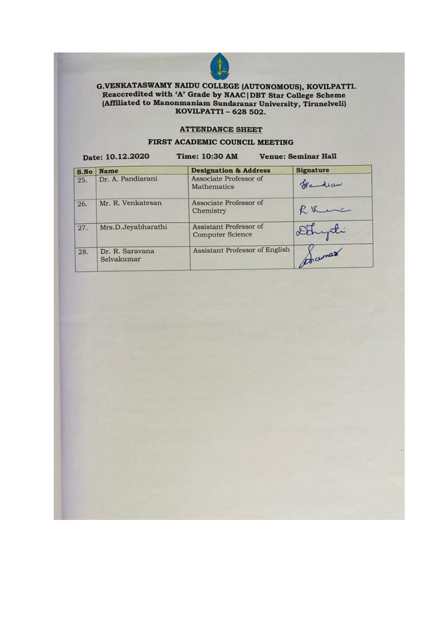

# G.VENKATASWAMY NAIDU COLLEGE (AUTONOMOUS), KOVILPATTI.<br>Reaccredited with 'A' Grade by NAAC | DBT Star College Scheme<br>(Affiliated to Manonmaniam Sundaranar University, Tirunelveli)<br>KOVILPATTI – 628 502.

#### **ATTENDANCE SHEET**

#### FIRST ACADEMIC COUNCIL MEETING

| Date: 10.12.2020 |                               | Time: 10:30 AM<br>Venue: Seminar Hall             |                  |
|------------------|-------------------------------|---------------------------------------------------|------------------|
| S.No             | <b>Name</b>                   | <b>Designation &amp; Address</b>                  | <b>Signature</b> |
| 25.              | Dr. A. Pandiarani             | Associate Professor of<br><b>Mathematics</b>      | fradian.         |
| 26.              | Mr. R. Venkatesan             | Associate Professor of<br>Chemistry               | Run              |
| 27.              | Mrs.D.Jeyabharathi            | Assistant Professor of<br><b>Computer Science</b> | Denyti           |
| 28.              | Dr. R. Saravana<br>Selvakumar | Assistant Professor of English                    | pownas           |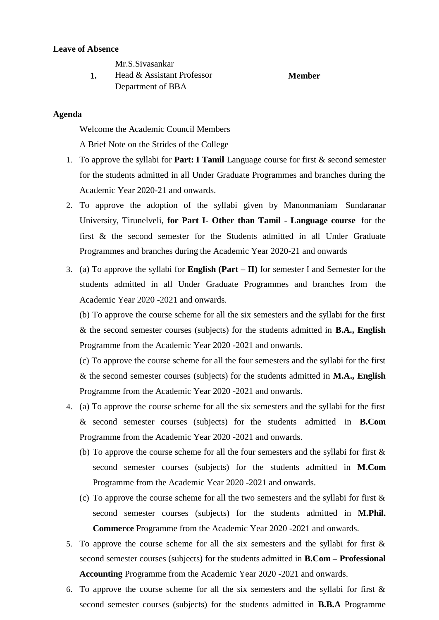#### **Leave of Absence**

Mr.S.Sivasankar

**1.** Head & Assistant Professor Department of BBA **Member**

### **Agenda**

Welcome the Academic Council Members

A Brief Note on the Strides of the College

- 1. To approve the syllabi for **Part: I Tamil** Language course for first & second semester for the students admitted in all Under Graduate Programmes and branches during the Academic Year 2020-21 and onwards.
- 2. To approve the adoption of the syllabi given by Manonmaniam Sundaranar University, Tirunelveli, **for Part I- Other than Tamil - Language course** for the first & the second semester for the Students admitted in all Under Graduate Programmes and branches during the Academic Year 2020-21 and onwards
- 3. (a) To approve the syllabi for **English (Part – II)** for semester I and Semester for the students admitted in all Under Graduate Programmes and branches from the Academic Year 2020 -2021 and onwards.

(b) To approve the course scheme for all the six semesters and the syllabi for the first & the second semester courses (subjects) for the students admitted in **B.A., English** Programme from the Academic Year 2020 -2021 and onwards.

(c) To approve the course scheme for all the four semesters and the syllabi for the first & the second semester courses (subjects) for the students admitted in **M.A., English** Programme from the Academic Year 2020 -2021 and onwards.

- 4. (a) To approve the course scheme for all the six semesters and the syllabi for the first & second semester courses (subjects) for the students admitted in **B.Com** Programme from the Academic Year 2020 -2021 and onwards.
	- (b) To approve the course scheme for all the four semesters and the syllabi for first & second semester courses (subjects) for the students admitted in **M.Com** Programme from the Academic Year 2020 -2021 and onwards.
	- (c) To approve the course scheme for all the two semesters and the syllabi for first  $\&$ second semester courses (subjects) for the students admitted in **M.Phil. Commerce** Programme from the Academic Year 2020 -2021 and onwards.
- 5. To approve the course scheme for all the six semesters and the syllabi for first & second semester courses (subjects) for the students admitted in **B.Com – Professional Accounting** Programme from the Academic Year 2020 -2021 and onwards.
- 6. To approve the course scheme for all the six semesters and the syllabi for first & second semester courses (subjects) for the students admitted in **B.B.A** Programme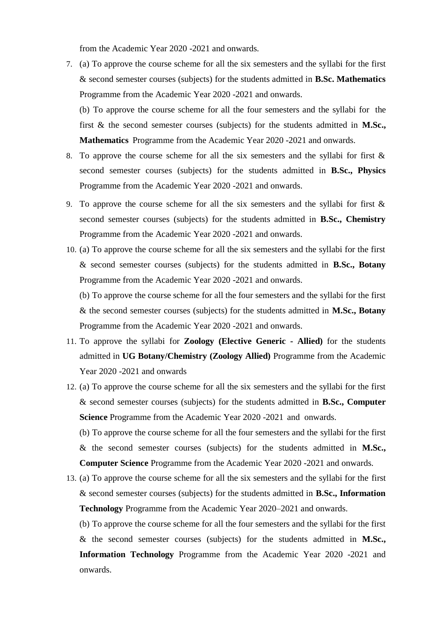from the Academic Year 2020 -2021 and onwards.

7. (a) To approve the course scheme for all the six semesters and the syllabi for the first & second semester courses (subjects) for the students admitted in **B.Sc. Mathematics** Programme from the Academic Year 2020 -2021 and onwards.

(b) To approve the course scheme for all the four semesters and the syllabi for the first & the second semester courses (subjects) for the students admitted in **M.Sc., Mathematics** Programme from the Academic Year 2020 -2021 and onwards.

- 8. To approve the course scheme for all the six semesters and the syllabi for first & second semester courses (subjects) for the students admitted in **B.Sc., Physics** Programme from the Academic Year 2020 -2021 and onwards.
- 9. To approve the course scheme for all the six semesters and the syllabi for first & second semester courses (subjects) for the students admitted in **B.Sc., Chemistry** Programme from the Academic Year 2020 -2021 and onwards.
- 10. (a) To approve the course scheme for all the six semesters and the syllabi for the first & second semester courses (subjects) for the students admitted in **B.Sc., Botany** Programme from the Academic Year 2020 -2021 and onwards.

(b) To approve the course scheme for all the four semesters and the syllabi for the first & the second semester courses (subjects) for the students admitted in **M.Sc., Botany** Programme from the Academic Year 2020 -2021 and onwards.

- 11. To approve the syllabi for **Zoology (Elective Generic - Allied)** for the students admitted in **UG Botany/Chemistry (Zoology Allied)** Programme from the Academic Year 2020 -2021 and onwards
- 12. (a) To approve the course scheme for all the six semesters and the syllabi for the first & second semester courses (subjects) for the students admitted in **B.Sc., Computer Science** Programme from the Academic Year 2020 -2021 and onwards.

(b) To approve the course scheme for all the four semesters and the syllabi for the first & the second semester courses (subjects) for the students admitted in **M.Sc., Computer Science** Programme from the Academic Year 2020 -2021 and onwards.

13. (a) To approve the course scheme for all the six semesters and the syllabi for the first & second semester courses (subjects) for the students admitted in **B.Sc., Information Technology** Programme from the Academic Year 2020–2021 and onwards.

(b) To approve the course scheme for all the four semesters and the syllabi for the first & the second semester courses (subjects) for the students admitted in **M.Sc., Information Technology** Programme from the Academic Year 2020 -2021 and onwards.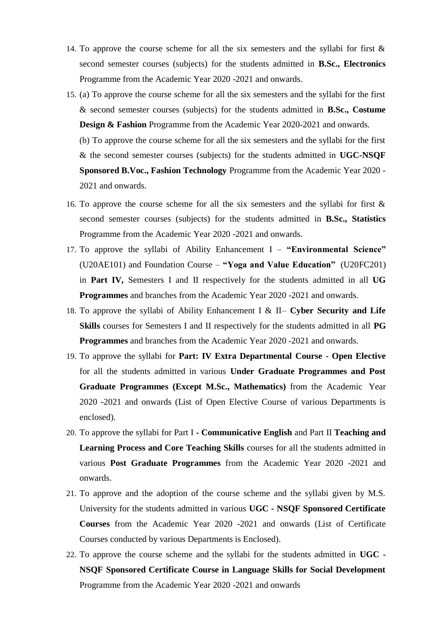- 14. To approve the course scheme for all the six semesters and the syllabi for first & second semester courses (subjects) for the students admitted in **B.Sc., Electronics** Programme from the Academic Year 2020 -2021 and onwards.
- 15. (a) To approve the course scheme for all the six semesters and the syllabi for the first & second semester courses (subjects) for the students admitted in **B.Sc., Costume Design & Fashion** Programme from the Academic Year 2020-2021 and onwards.

(b) To approve the course scheme for all the six semesters and the syllabi for the first & the second semester courses (subjects) for the students admitted in **UGC-NSQF Sponsored B.Voc., Fashion Technology** Programme from the Academic Year 2020 - 2021 and onwards.

- 16. To approve the course scheme for all the six semesters and the syllabi for first & second semester courses (subjects) for the students admitted in **B.Sc., Statistics** Programme from the Academic Year 2020 -2021 and onwards.
- 17. To approve the syllabi of Ability Enhancement I **"Environmental Science"** (U20AE101) and Foundation Course – **"Yoga and Value Education"** (U20FC201) in **Part IV,** Semesters I and II respectively for the students admitted in all **UG Programmes** and branches from the Academic Year 2020 -2021 and onwards.
- 18. To approve the syllabi of Ability Enhancement I & II– **Cyber Security and Life Skills** courses for Semesters I and II respectively for the students admitted in all **PG Programmes** and branches from the Academic Year 2020 -2021 and onwards.
- 19. To approve the syllabi for **Part: IV Extra Departmental Course - Open Elective** for all the students admitted in various **Under Graduate Programmes and Post Graduate Programmes (Except M.Sc., Mathematics)** from the Academic Year 2020 -2021 and onwards (List of Open Elective Course of various Departments is enclosed).
- 20. To approve the syllabi for Part I **- Communicative English** and Part II **Teaching and Learning Process and Core Teaching Skills** courses for all the students admitted in various **Post Graduate Programmes** from the Academic Year 2020 -2021 and onwards.
- 21. To approve and the adoption of the course scheme and the syllabi given by M.S. University for the students admitted in various **UGC - NSQF Sponsored Certificate Courses** from the Academic Year 2020 -2021 and onwards (List of Certificate Courses conducted by various Departments is Enclosed).
- 22. To approve the course scheme and the syllabi for the students admitted in **UGC - NSQF Sponsored Certificate Course in Language Skills for Social Development** Programme from the Academic Year 2020 -2021 and onwards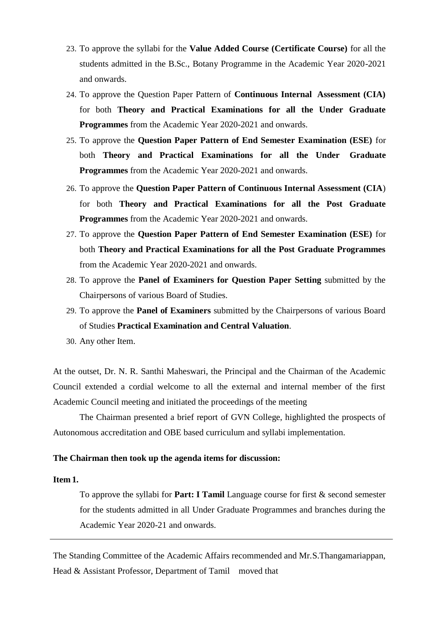- 23. To approve the syllabi for the **Value Added Course (Certificate Course)** for all the students admitted in the B.Sc., Botany Programme in the Academic Year 2020-2021 and onwards.
- 24. To approve the Question Paper Pattern of **Continuous Internal Assessment (CIA)** for both **Theory and Practical Examinations for all the Under Graduate Programmes** from the Academic Year 2020-2021 and onwards.
- 25. To approve the **Question Paper Pattern of End Semester Examination (ESE)** for both **Theory and Practical Examinations for all the Under Graduate Programmes** from the Academic Year 2020-2021 and onwards.
- 26. To approve the **Question Paper Pattern of Continuous Internal Assessment (CIA**) for both **Theory and Practical Examinations for all the Post Graduate Programmes** from the Academic Year 2020-2021 and onwards.
- 27. To approve the **Question Paper Pattern of End Semester Examination (ESE)** for both **Theory and Practical Examinations for all the Post Graduate Programmes** from the Academic Year 2020-2021 and onwards.
- 28. To approve the **Panel of Examiners for Question Paper Setting** submitted by the Chairpersons of various Board of Studies.
- 29. To approve the **Panel of Examiners** submitted by the Chairpersons of various Board of Studies **Practical Examination and Central Valuation**.
- 30. Any other Item.

At the outset, Dr. N. R. Santhi Maheswari, the Principal and the Chairman of the Academic Council extended a cordial welcome to all the external and internal member of the first Academic Council meeting and initiated the proceedings of the meeting

The Chairman presented a brief report of GVN College, highlighted the prospects of Autonomous accreditation and OBE based curriculum and syllabi implementation.

## **The Chairman then took up the agenda items for discussion:**

### **Item 1.**

To approve the syllabi for **Part: I Tamil** Language course for first & second semester for the students admitted in all Under Graduate Programmes and branches during the Academic Year 2020-21 and onwards.

The Standing Committee of the Academic Affairs recommended and Mr.S.Thangamariappan, Head & Assistant Professor, Department of Tamil moved that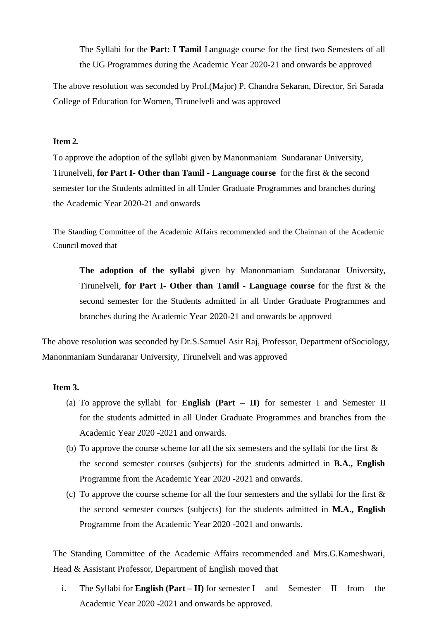The Syllabi for the **Part: I Tamil** Language course for the first two Semesters of all the UG Programmes during the Academic Year 2020-21 and onwards be approved

The above resolution was seconded by Prof.(Major) P. Chandra Sekaran, Director, Sri Sarada College of Education for Women, Tirunelveli and was approved

# **Item 2.**

To approve the adoption of the syllabi given by Manonmaniam Sundaranar University, Tirunelveli, **for Part I- Other than Tamil - Language course** for the first & the second semester for the Students admitted in all Under Graduate Programmes and branches during the Academic Year 2020-21 and onwards

The Standing Committee of the Academic Affairs recommended and the Chairman of the Academic Council moved that

**The adoption of the syllabi** given by Manonmaniam Sundaranar University, Tirunelveli, **for Part I- Other than Tamil - Language course** for the first & the second semester for the Students admitted in all Under Graduate Programmes and branches during the Academic Year 2020-21 and onwards be approved

The above resolution was seconded by Dr.S.Samuel Asir Raj, Professor, Department ofSociology, Manonmaniam Sundaranar University, Tirunelveli and was approved

#### **Item 3.**

- (a) To approve the syllabi for **English (Part – II)** for semester I and Semester II for the students admitted in all Under Graduate Programmes and branches from the Academic Year 2020 -2021 and onwards.
- (b) To approve the course scheme for all the six semesters and the syllabi for the first  $\&$ the second semester courses (subjects) for the students admitted in **B.A., English** Programme from the Academic Year 2020 -2021 and onwards.
- (c) To approve the course scheme for all the four semesters and the syllabi for the first  $\&$ the second semester courses (subjects) for the students admitted in **M.A., English** Programme from the Academic Year 2020 -2021 and onwards.

The Standing Committee of the Academic Affairs recommended and Mrs.G.Kameshwari, Head & Assistant Professor, Department of English moved that

i. The Syllabi for **English (Part – II)** for semester I and Semester II from the Academic Year 2020 -2021 and onwards be approved.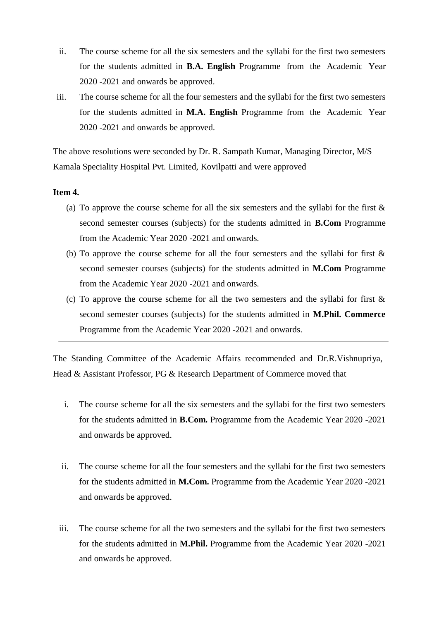- ii. The course scheme for all the six semesters and the syllabi for the first two semesters for the students admitted in **B.A. English** Programme from the Academic Year 2020 -2021 and onwards be approved.
- iii. The course scheme for all the four semesters and the syllabi for the first two semesters for the students admitted in **M.A. English** Programme from the Academic Year 2020 -2021 and onwards be approved.

The above resolutions were seconded by Dr. R. Sampath Kumar, Managing Director, M/S Kamala Speciality Hospital Pvt. Limited, Kovilpatti and were approved

### **Item 4.**

- (a) To approve the course scheme for all the six semesters and the syllabi for the first  $\&$ second semester courses (subjects) for the students admitted in **B.Com** Programme from the Academic Year 2020 -2021 and onwards.
- (b) To approve the course scheme for all the four semesters and the syllabi for first & second semester courses (subjects) for the students admitted in **M.Com** Programme from the Academic Year 2020 -2021 and onwards.
- (c) To approve the course scheme for all the two semesters and the syllabi for first & second semester courses (subjects) for the students admitted in **M.Phil. Commerce** Programme from the Academic Year 2020 -2021 and onwards.

The Standing Committee of the Academic Affairs recommended and Dr.R.Vishnupriya, Head & Assistant Professor, PG & Research Department of Commerce moved that

- i. The course scheme for all the six semesters and the syllabi for the first two semesters for the students admitted in **B.Com.** Programme from the Academic Year 2020 -2021 and onwards be approved.
- ii. The course scheme for all the four semesters and the syllabi for the first two semesters for the students admitted in **M.Com.** Programme from the Academic Year 2020 -2021 and onwards be approved.
- iii. The course scheme for all the two semesters and the syllabi for the first two semesters for the students admitted in **M.Phil.** Programme from the Academic Year 2020 -2021 and onwards be approved.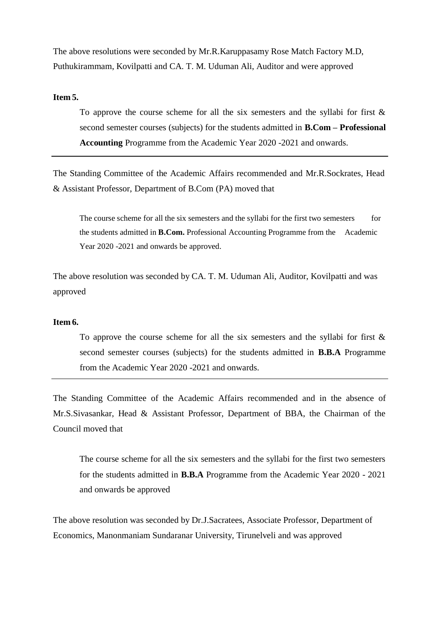The above resolutions were seconded by Mr.R.Karuppasamy Rose Match Factory M.D, Puthukirammam, Kovilpatti and CA. T. M. Uduman Ali, Auditor and were approved

#### **Item 5.**

To approve the course scheme for all the six semesters and the syllabi for first  $\&$ second semester courses (subjects) for the students admitted in **B.Com – Professional Accounting** Programme from the Academic Year 2020 -2021 and onwards.

The Standing Committee of the Academic Affairs recommended and Mr.R.Sockrates, Head & Assistant Professor, Department of B.Com (PA) moved that

The course scheme for all the six semesters and the syllabi for the first two semesters for the students admitted in **B.Com.** Professional Accounting Programme from the Academic Year 2020 -2021 and onwards be approved.

The above resolution was seconded by CA. T. M. Uduman Ali, Auditor, Kovilpatti and was approved

#### **Item 6.**

To approve the course scheme for all the six semesters and the syllabi for first  $\&$ second semester courses (subjects) for the students admitted in **B.B.A** Programme from the Academic Year 2020 -2021 and onwards.

The Standing Committee of the Academic Affairs recommended and in the absence of Mr.S.Sivasankar, Head & Assistant Professor, Department of BBA, the Chairman of the Council moved that

The course scheme for all the six semesters and the syllabi for the first two semesters for the students admitted in **B.B.A** Programme from the Academic Year 2020 - 2021 and onwards be approved

The above resolution was seconded by Dr.J.Sacratees, Associate Professor, Department of Economics, Manonmaniam Sundaranar University, Tirunelveli and was approved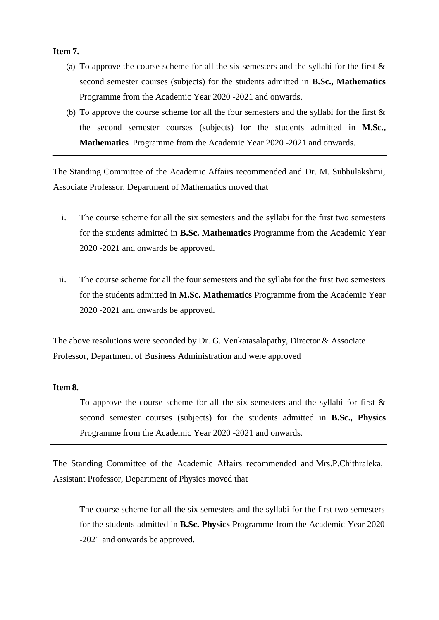# **Item 7.**

- (a) To approve the course scheme for all the six semesters and the syllabi for the first  $\&$ second semester courses (subjects) for the students admitted in **B.Sc., Mathematics** Programme from the Academic Year 2020 -2021 and onwards.
- (b) To approve the course scheme for all the four semesters and the syllabi for the first & the second semester courses (subjects) for the students admitted in **M.Sc., Mathematics** Programme from the Academic Year 2020 -2021 and onwards.

The Standing Committee of the Academic Affairs recommended and Dr. M. Subbulakshmi, Associate Professor, Department of Mathematics moved that

- i. The course scheme for all the six semesters and the syllabi for the first two semesters for the students admitted in **B.Sc. Mathematics** Programme from the Academic Year 2020 -2021 and onwards be approved.
- ii. The course scheme for all the four semesters and the syllabi for the first two semesters for the students admitted in **M.Sc. Mathematics** Programme from the Academic Year 2020 -2021 and onwards be approved.

The above resolutions were seconded by Dr. G. Venkatasalapathy, Director & Associate Professor, Department of Business Administration and were approved

# **Item 8.**

To approve the course scheme for all the six semesters and the syllabi for first  $\&$ second semester courses (subjects) for the students admitted in **B.Sc., Physics** Programme from the Academic Year 2020 -2021 and onwards.

The Standing Committee of the Academic Affairs recommended and Mrs.P.Chithraleka, Assistant Professor, Department of Physics moved that

The course scheme for all the six semesters and the syllabi for the first two semesters for the students admitted in **B.Sc. Physics** Programme from the Academic Year 2020 -2021 and onwards be approved.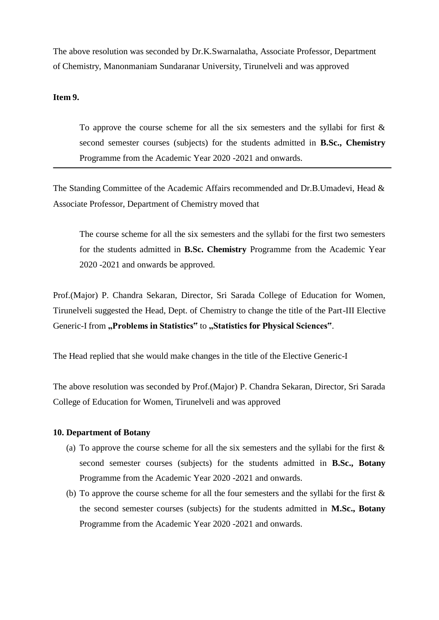The above resolution was seconded by Dr.K.Swarnalatha, Associate Professor, Department of Chemistry, Manonmaniam Sundaranar University, Tirunelveli and was approved

#### **Item 9.**

To approve the course scheme for all the six semesters and the syllabi for first  $\&$ second semester courses (subjects) for the students admitted in **B.Sc., Chemistry** Programme from the Academic Year 2020 -2021 and onwards.

The Standing Committee of the Academic Affairs recommended and Dr.B.Umadevi, Head & Associate Professor, Department of Chemistry moved that

The course scheme for all the six semesters and the syllabi for the first two semesters for the students admitted in **B.Sc. Chemistry** Programme from the Academic Year 2020 -2021 and onwards be approved.

Prof.(Major) P. Chandra Sekaran, Director, Sri Sarada College of Education for Women, Tirunelveli suggested the Head, Dept. of Chemistry to change the title of the Part-III Elective Generic-I from "Problems in Statistics" to "Statistics for Physical Sciences".

The Head replied that she would make changes in the title of the Elective Generic-I

The above resolution was seconded by Prof.(Major) P. Chandra Sekaran, Director, Sri Sarada College of Education for Women, Tirunelveli and was approved

#### **10. Department of Botany**

- (a) To approve the course scheme for all the six semesters and the syllabi for the first  $\&$ second semester courses (subjects) for the students admitted in **B.Sc., Botany** Programme from the Academic Year 2020 -2021 and onwards.
- (b) To approve the course scheme for all the four semesters and the syllabi for the first & the second semester courses (subjects) for the students admitted in **M.Sc., Botany** Programme from the Academic Year 2020 -2021 and onwards.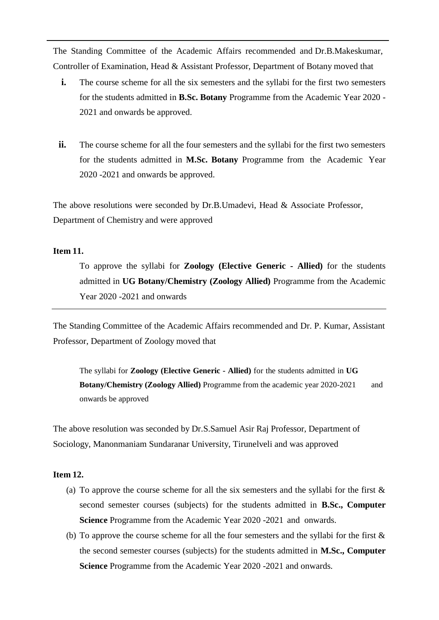The Standing Committee of the Academic Affairs recommended and Dr.B.Makeskumar, Controller of Examination, Head & Assistant Professor, Department of Botany moved that

- **i.** The course scheme for all the six semesters and the syllabi for the first two semesters for the students admitted in **B.Sc. Botany** Programme from the Academic Year 2020 - 2021 and onwards be approved.
- **ii.** The course scheme for all the four semesters and the syllabi for the first two semesters for the students admitted in **M.Sc. Botany** Programme from the Academic Year 2020 -2021 and onwards be approved.

The above resolutions were seconded by Dr.B.Umadevi, Head & Associate Professor, Department of Chemistry and were approved

#### **Item 11.**

To approve the syllabi for **Zoology (Elective Generic - Allied)** for the students admitted in **UG Botany/Chemistry (Zoology Allied)** Programme from the Academic Year 2020 -2021 and onwards

The Standing Committee of the Academic Affairs recommended and Dr. P. Kumar, Assistant Professor, Department of Zoology moved that

The syllabi for **Zoology (Elective Generic - Allied)** for the students admitted in **UG Botany/Chemistry (Zoology Allied)** Programme from the academic year 2020-2021 and onwards be approved

The above resolution was seconded by Dr.S.Samuel Asir Raj Professor, Department of Sociology, Manonmaniam Sundaranar University, Tirunelveli and was approved

# **Item 12.**

- (a) To approve the course scheme for all the six semesters and the syllabi for the first  $\&$ second semester courses (subjects) for the students admitted in **B.Sc., Computer Science** Programme from the Academic Year 2020 -2021 and onwards.
- (b) To approve the course scheme for all the four semesters and the syllabi for the first & the second semester courses (subjects) for the students admitted in **M.Sc., Computer Science** Programme from the Academic Year 2020 -2021 and onwards.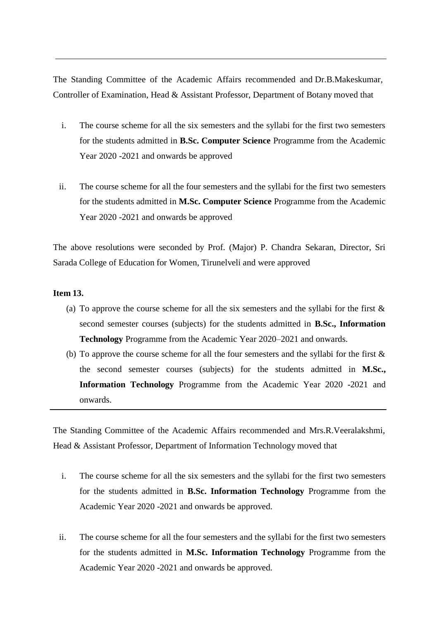The Standing Committee of the Academic Affairs recommended and Dr.B.Makeskumar, Controller of Examination, Head & Assistant Professor, Department of Botany moved that

- i. The course scheme for all the six semesters and the syllabi for the first two semesters for the students admitted in **B.Sc. Computer Science** Programme from the Academic Year 2020 -2021 and onwards be approved
- ii. The course scheme for all the four semesters and the syllabi for the first two semesters for the students admitted in **M.Sc. Computer Science** Programme from the Academic Year 2020 -2021 and onwards be approved

The above resolutions were seconded by Prof. (Major) P. Chandra Sekaran, Director, Sri Sarada College of Education for Women, Tirunelveli and were approved

#### **Item 13.**

- (a) To approve the course scheme for all the six semesters and the syllabi for the first  $\&$ second semester courses (subjects) for the students admitted in **B.Sc., Information Technology** Programme from the Academic Year 2020–2021 and onwards.
- (b) To approve the course scheme for all the four semesters and the syllabi for the first & the second semester courses (subjects) for the students admitted in **M.Sc., Information Technology** Programme from the Academic Year 2020 -2021 and onwards.

The Standing Committee of the Academic Affairs recommended and Mrs.R.Veeralakshmi, Head & Assistant Professor, Department of Information Technology moved that

- i. The course scheme for all the six semesters and the syllabi for the first two semesters for the students admitted in **B.Sc. Information Technology** Programme from the Academic Year 2020 -2021 and onwards be approved.
- ii. The course scheme for all the four semesters and the syllabi for the first two semesters for the students admitted in **M.Sc. Information Technology** Programme from the Academic Year 2020 -2021 and onwards be approved.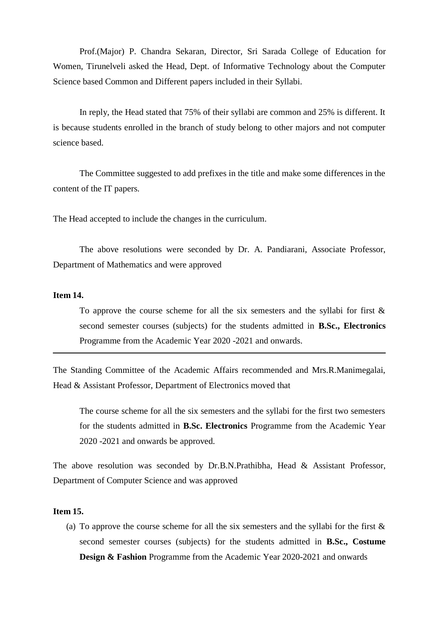Prof.(Major) P. Chandra Sekaran, Director, Sri Sarada College of Education for Women, Tirunelveli asked the Head, Dept. of Informative Technology about the Computer Science based Common and Different papers included in their Syllabi.

In reply, the Head stated that 75% of their syllabi are common and 25% is different. It is because students enrolled in the branch of study belong to other majors and not computer science based.

The Committee suggested to add prefixes in the title and make some differences in the content of the IT papers.

The Head accepted to include the changes in the curriculum.

The above resolutions were seconded by Dr. A. Pandiarani, Associate Professor, Department of Mathematics and were approved

# **Item 14.**

To approve the course scheme for all the six semesters and the syllabi for first  $\&$ second semester courses (subjects) for the students admitted in **B.Sc., Electronics** Programme from the Academic Year 2020 -2021 and onwards.

The Standing Committee of the Academic Affairs recommended and Mrs.R.Manimegalai, Head & Assistant Professor, Department of Electronics moved that

The course scheme for all the six semesters and the syllabi for the first two semesters for the students admitted in **B.Sc. Electronics** Programme from the Academic Year 2020 -2021 and onwards be approved.

The above resolution was seconded by Dr.B.N.Prathibha, Head & Assistant Professor, Department of Computer Science and was approved

### **Item 15.**

(a) To approve the course scheme for all the six semesters and the syllabi for the first  $\&$ second semester courses (subjects) for the students admitted in **B.Sc., Costume Design & Fashion** Programme from the Academic Year 2020-2021 and onwards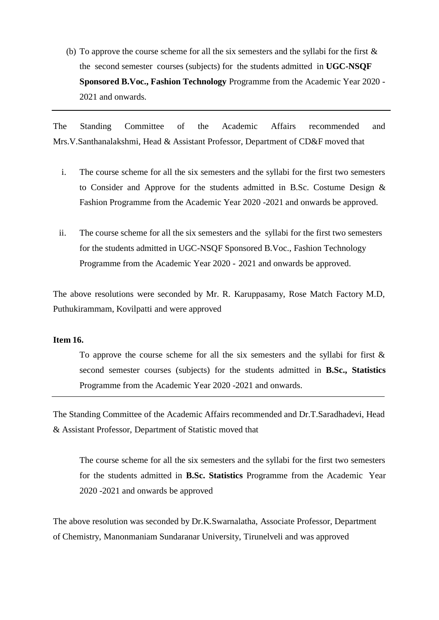(b) To approve the course scheme for all the six semesters and the syllabi for the first  $\&$ the second semester courses (subjects) for the students admitted in **UGC-NSQF Sponsored B.Voc., Fashion Technology** Programme from the Academic Year 2020 - 2021 and onwards.

The Standing Committee of the Academic Affairs recommended and Mrs.V.Santhanalakshmi, Head & Assistant Professor, Department of CD&F moved that

- i. The course scheme for all the six semesters and the syllabi for the first two semesters to Consider and Approve for the students admitted in B.Sc. Costume Design & Fashion Programme from the Academic Year 2020 -2021 and onwards be approved.
- ii. The course scheme for all the six semesters and the syllabi for the first two semesters for the students admitted in UGC-NSQF Sponsored B.Voc., Fashion Technology Programme from the Academic Year 2020 - 2021 and onwards be approved.

The above resolutions were seconded by Mr. R. Karuppasamy, Rose Match Factory M.D, Puthukirammam, Kovilpatti and were approved

# **Item 16.**

To approve the course scheme for all the six semesters and the syllabi for first  $\&$ second semester courses (subjects) for the students admitted in **B.Sc., Statistics** Programme from the Academic Year 2020 -2021 and onwards.

The Standing Committee of the Academic Affairs recommended and Dr.T.Saradhadevi, Head & Assistant Professor, Department of Statistic moved that

The course scheme for all the six semesters and the syllabi for the first two semesters for the students admitted in **B.Sc. Statistics** Programme from the Academic Year 2020 -2021 and onwards be approved

The above resolution was seconded by Dr.K.Swarnalatha, Associate Professor, Department of Chemistry, Manonmaniam Sundaranar University, Tirunelveli and was approved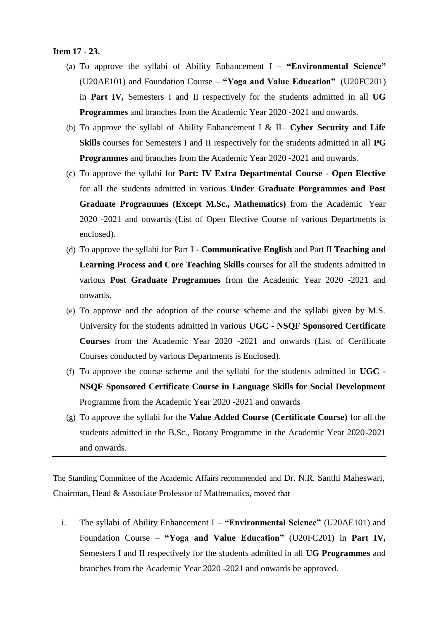#### **Item 17 - 23.**

- (a) To approve the syllabi of Ability Enhancement I **"Environmental Science"** (U20AE101) and Foundation Course – **"Yoga and Value Education"** (U20FC201) in **Part IV,** Semesters I and II respectively for the students admitted in all **UG Programmes** and branches from the Academic Year 2020 -2021 and onwards.
- (b) To approve the syllabi of Ability Enhancement I & II– **Cyber Security and Life Skills** courses for Semesters I and II respectively for the students admitted in all **PG Programmes** and branches from the Academic Year 2020 -2021 and onwards.
- (c) To approve the syllabi for **Part: IV Extra Departmental Course - Open Elective** for all the students admitted in various **Under Graduate Porgrammes and Post Graduate Programmes (Except M.Sc., Mathematics)** from the Academic Year 2020 -2021 and onwards (List of Open Elective Course of various Departments is enclosed).
- (d) To approve the syllabi for Part I **- Communicative English** and Part II **Teaching and Learning Process and Core Teaching Skills** courses for all the students admitted in various **Post Graduate Programmes** from the Academic Year 2020 -2021 and onwards.
- (e) To approve and the adoption of the course scheme and the syllabi given by M.S. University for the students admitted in various **UGC - NSQF Sponsored Certificate Courses** from the Academic Year 2020 -2021 and onwards (List of Certificate Courses conducted by various Departments is Enclosed).
- (f) To approve the course scheme and the syllabi for the students admitted in **UGC - NSQF Sponsored Certificate Course in Language Skills for Social Development** Programme from the Academic Year 2020 -2021 and onwards
- (g) To approve the syllabi for the **Value Added Course (Certificate Course)** for all the students admitted in the B.Sc., Botany Programme in the Academic Year 2020-2021 and onwards.

The Standing Committee of the Academic Affairs recommended and Dr. N.R. Santhi Maheswari, Chairman, Head & Associate Professor of Mathematics, moved that

i. The syllabi of Ability Enhancement I – **"Environmental Science"** (U20AE101) and Foundation Course – **"Yoga and Value Education"** (U20FC201) in **Part IV,** Semesters I and II respectively for the students admitted in all **UG Programmes** and branches from the Academic Year 2020 -2021 and onwards be approved.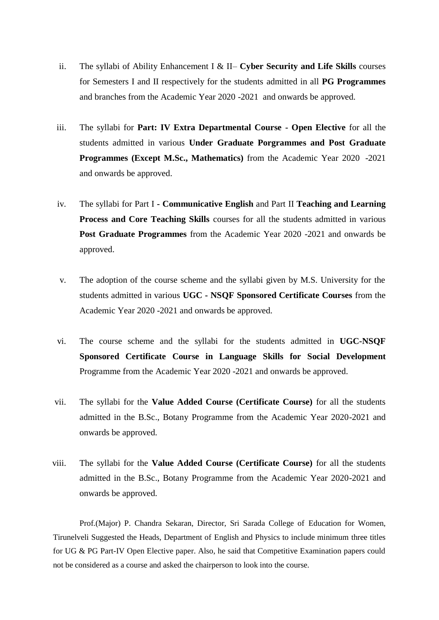- ii. The syllabi of Ability Enhancement I & II– **Cyber Security and Life Skills** courses for Semesters I and II respectively for the students admitted in all **PG Programmes** and branches from the Academic Year 2020 -2021 and onwards be approved.
- iii. The syllabi for **Part: IV Extra Departmental Course - Open Elective** for all the students admitted in various **Under Graduate Porgrammes and Post Graduate Programmes (Except M.Sc., Mathematics)** from the Academic Year 2020 -2021 and onwards be approved.
- iv. The syllabi for Part I **- Communicative English** and Part II **Teaching and Learning Process and Core Teaching Skills** courses for all the students admitted in various **Post Graduate Programmes** from the Academic Year 2020 -2021 and onwards be approved.
- v. The adoption of the course scheme and the syllabi given by M.S. University for the students admitted in various **UGC - NSQF Sponsored Certificate Courses** from the Academic Year 2020 -2021 and onwards be approved.
- vi. The course scheme and the syllabi for the students admitted in **UGC-NSQF Sponsored Certificate Course in Language Skills for Social Development** Programme from the Academic Year 2020 -2021 and onwards be approved.
- vii. The syllabi for the **Value Added Course (Certificate Course)** for all the students admitted in the B.Sc., Botany Programme from the Academic Year 2020-2021 and onwards be approved.
- viii. The syllabi for the **Value Added Course (Certificate Course)** for all the students admitted in the B.Sc., Botany Programme from the Academic Year 2020-2021 and onwards be approved.

Prof.(Major) P. Chandra Sekaran, Director, Sri Sarada College of Education for Women, Tirunelveli Suggested the Heads, Department of English and Physics to include minimum three titles for UG & PG Part-IV Open Elective paper. Also, he said that Competitive Examination papers could not be considered as a course and asked the chairperson to look into the course.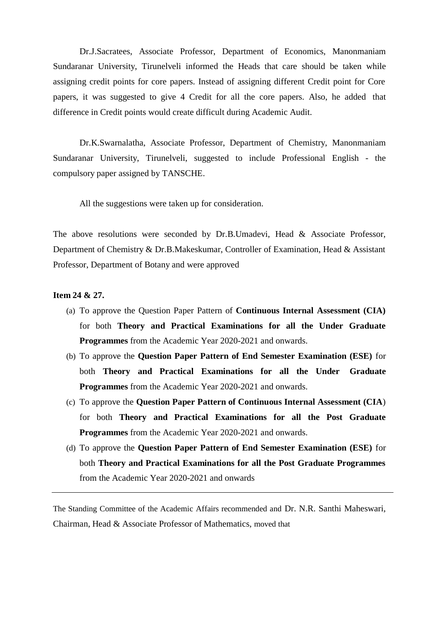Dr.J.Sacratees, Associate Professor, Department of Economics, Manonmaniam Sundaranar University, Tirunelveli informed the Heads that care should be taken while assigning credit points for core papers. Instead of assigning different Credit point for Core papers, it was suggested to give 4 Credit for all the core papers. Also, he added that difference in Credit points would create difficult during Academic Audit.

Dr.K.Swarnalatha, Associate Professor, Department of Chemistry, Manonmaniam Sundaranar University, Tirunelveli, suggested to include Professional English - the compulsory paper assigned by TANSCHE.

All the suggestions were taken up for consideration.

The above resolutions were seconded by Dr.B.Umadevi, Head & Associate Professor, Department of Chemistry & Dr.B.Makeskumar, Controller of Examination, Head & Assistant Professor, Department of Botany and were approved

# **Item 24 & 27.**

- (a) To approve the Question Paper Pattern of **Continuous Internal Assessment (CIA)** for both **Theory and Practical Examinations for all the Under Graduate Programmes** from the Academic Year 2020-2021 and onwards.
- (b) To approve the **Question Paper Pattern of End Semester Examination (ESE)** for both **Theory and Practical Examinations for all the Under Graduate Programmes** from the Academic Year 2020-2021 and onwards.
- (c) To approve the **Question Paper Pattern of Continuous Internal Assessment (CIA**) for both **Theory and Practical Examinations for all the Post Graduate Programmes** from the Academic Year 2020-2021 and onwards.
- (d) To approve the **Question Paper Pattern of End Semester Examination (ESE)** for both **Theory and Practical Examinations for all the Post Graduate Programmes** from the Academic Year 2020-2021 and onwards

The Standing Committee of the Academic Affairs recommended and Dr. N.R. Santhi Maheswari, Chairman, Head & Associate Professor of Mathematics, moved that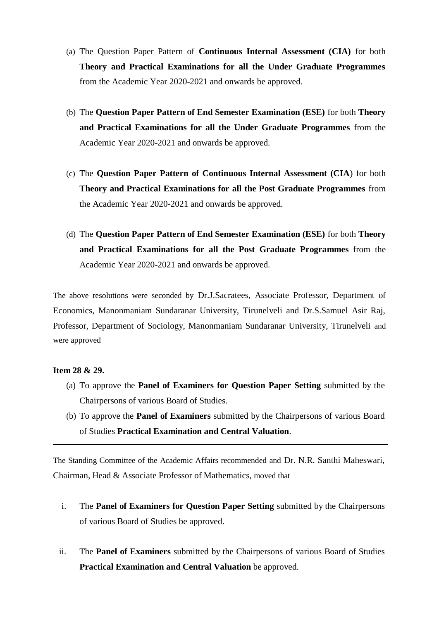- (a) The Question Paper Pattern of **Continuous Internal Assessment (CIA)** for both **Theory and Practical Examinations for all the Under Graduate Programmes** from the Academic Year 2020-2021 and onwards be approved.
- (b) The **Question Paper Pattern of End Semester Examination (ESE)** for both **Theory and Practical Examinations for all the Under Graduate Programmes** from the Academic Year 2020-2021 and onwards be approved.
- (c) The **Question Paper Pattern of Continuous Internal Assessment (CIA**) for both **Theory and Practical Examinations for all the Post Graduate Programmes** from the Academic Year 2020-2021 and onwards be approved.
- (d) The **Question Paper Pattern of End Semester Examination (ESE)** for both **Theory and Practical Examinations for all the Post Graduate Programmes** from the Academic Year 2020-2021 and onwards be approved.

The above resolutions were seconded by Dr.J.Sacratees, Associate Professor, Department of Economics, Manonmaniam Sundaranar University, Tirunelveli and Dr.S.Samuel Asir Raj, Professor, Department of Sociology, Manonmaniam Sundaranar University, Tirunelveli and were approved

#### **Item 28 & 29.**

- (a) To approve the **Panel of Examiners for Question Paper Setting** submitted by the Chairpersons of various Board of Studies.
- (b) To approve the **Panel of Examiners** submitted by the Chairpersons of various Board of Studies **Practical Examination and Central Valuation**.

The Standing Committee of the Academic Affairs recommended and Dr. N.R. Santhi Maheswari, Chairman, Head & Associate Professor of Mathematics, moved that

- i. The **Panel of Examiners for Question Paper Setting** submitted by the Chairpersons of various Board of Studies be approved.
- ii. The **Panel of Examiners** submitted by the Chairpersons of various Board of Studies **Practical Examination and Central Valuation** be approved.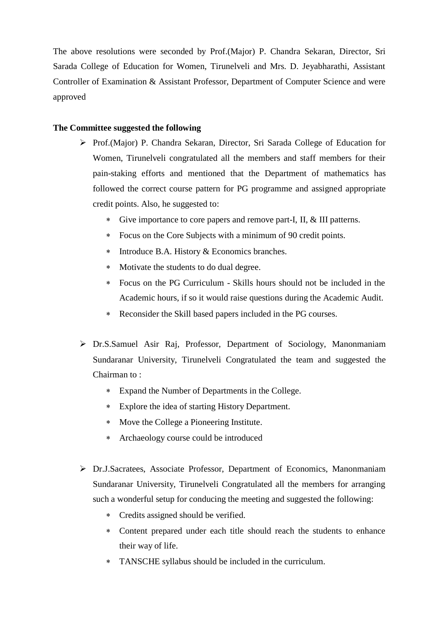The above resolutions were seconded by Prof.(Major) P. Chandra Sekaran, Director, Sri Sarada College of Education for Women, Tirunelveli and Mrs. D. Jeyabharathi, Assistant Controller of Examination & Assistant Professor, Department of Computer Science and were approved

# **The Committee suggested the following**

- Prof.(Major) P. Chandra Sekaran, Director, Sri Sarada College of Education for Women, Tirunelveli congratulated all the members and staff members for their pain-staking efforts and mentioned that the Department of mathematics has followed the correct course pattern for PG programme and assigned appropriate credit points. Also, he suggested to:
	- Give importance to core papers and remove part-I, II, & III patterns.
	- Focus on the Core Subjects with a minimum of 90 credit points.
	- Introduce B.A. History & Economics branches.
	- Motivate the students to do dual degree.
	- Focus on the PG Curriculum Skills hours should not be included in the Academic hours, if so it would raise questions during the Academic Audit.
	- Reconsider the Skill based papers included in the PG courses.
- Dr.S.Samuel Asir Raj, Professor, Department of Sociology, Manonmaniam Sundaranar University, Tirunelveli Congratulated the team and suggested the Chairman to :
	- Expand the Number of Departments in the College.
	- Explore the idea of starting History Department.
	- Move the College a Pioneering Institute.
	- Archaeology course could be introduced
- Dr.J.Sacratees, Associate Professor, Department of Economics, Manonmaniam Sundaranar University, Tirunelveli Congratulated all the members for arranging such a wonderful setup for conducing the meeting and suggested the following:
	- Credits assigned should be verified.
	- Content prepared under each title should reach the students to enhance their way of life.
	- TANSCHE syllabus should be included in the curriculum.